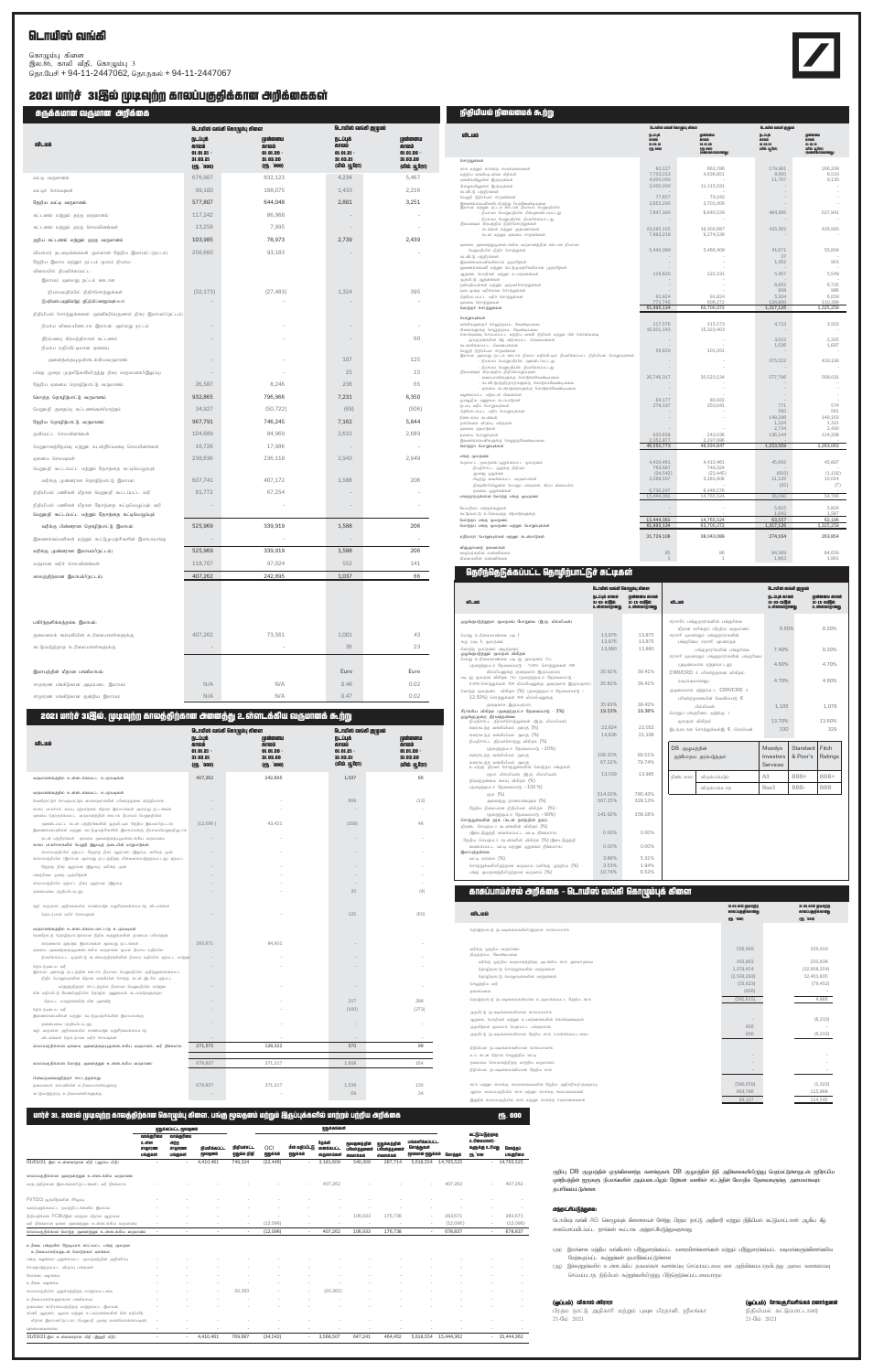### $\blacksquare$ பெயிஸ் வங்கி

கொழும்பு கிளை இல.86, காலி வீதி, கொழும்பு 3 தொ.பேசி + 94-11-2447062, தொ.நகல் + 94-11-2447067

### 2021 மார்ச் 31தில் முடிவுற்ற காலப்பகுதிக்கான அறிக்கைகள்

சுருக்கமான வருமான அறிக்கை

| aliJaaniin enlinnim aiihama                                                                                                                          |                                                                          | டொயிஸ் வங்கி கொழும்பு கிளை                                 | டொயிஸ் வங்கி குழுமம்                                      |                                                              |
|------------------------------------------------------------------------------------------------------------------------------------------------------|--------------------------------------------------------------------------|------------------------------------------------------------|-----------------------------------------------------------|--------------------------------------------------------------|
| விடயம்                                                                                                                                               | நடப்புக்<br>காலம்<br>$01.01.21 -$<br>31.03.21<br>(PI <sub>b</sub> . 000) | முன்னைய<br>காலம்<br>$01.01.20 -$<br>31.03.20<br>(PH, '000) | நடப்புக்<br>காலம்<br>01.01.21<br>31.03.21<br>(மில். யூரோ) | முன்னைய<br>காலம்<br>$01.01.20 -$<br>31.03.20<br>(மில். யூரோ) |
| வட்டி வருமானம்                                                                                                                                       | 676,907                                                                  | 832,123                                                    | 4,234                                                     | 5,467                                                        |
| வட்டிச் செலவுகள்                                                                                                                                     | 99,100                                                                   | 188,075                                                    | 1.433                                                     | 2,216                                                        |
| தேறிய வட்டி வருமானம்                                                                                                                                 | 577,807                                                                  | 644,048                                                    | 2,801                                                     | 3,251                                                        |
| கட்டணம் மற்றும் தரகு வருமானம்                                                                                                                        | 117,242                                                                  | 86,968                                                     |                                                           |                                                              |
| கட்டணம் மற்றும் தரகு செலவினங்கள்                                                                                                                     | 13,258                                                                   | 7,995                                                      |                                                           |                                                              |
| தறிய கட்டணம் மற்றும் தரகு வருமானம்                                                                                                                   | 103,985                                                                  | 78,973                                                     | 2,739                                                     | 2,439                                                        |
| வியாபார நடவடிக்கைகள் மூலமான தேறிய இலாபம். (நட்டம்)<br>தேறிய இலாப மற்றும் நட்டம் மூலம் நியாய<br>விலையில் நியமிக்கப்பட்ட:<br>இலாபம் அல்லது நட்டம் ஊடான | 256,660                                                                  | 93,183                                                     |                                                           |                                                              |
| நியாயமதிப்பில் நிதிச்சொத்துக்கள்<br>இணியம்பழுதில்இற் நிதிய்வெறுப்புக்கள்                                                                             | (32, 173)                                                                | (27, 483)                                                  | 1,324                                                     | 395                                                          |
| நிதியியல் சொத்துக்களை அங்கீகரிப்பதனால் நிகர இலாபம்/(நட்டம்)                                                                                          |                                                                          |                                                            |                                                           |                                                              |
| நியாய விலையினாடாக இலாபம் அல்லது நட்டம்                                                                                                               |                                                                          |                                                            |                                                           |                                                              |
| தீர்ப்பனவு கிரயத்திலான கட்டணம்<br>நியாய மதிப்பீட்டிலான ஏனைய                                                                                          |                                                                          |                                                            |                                                           | 60                                                           |
| அனைத்தையுமுள்ளடக்கியவருமானம்                                                                                                                         |                                                                          |                                                            | 107                                                       | 125                                                          |
| பங்கு முறை முதலீடுகளிலிருந்து நிகர வருமானம்/(இழப்பு)                                                                                                 |                                                                          |                                                            | 25                                                        | 15                                                           |
| தேறிய ஏனைய தொழிற்பாட்டு வருமானம்                                                                                                                     | 26,587                                                                   | 8,246                                                      | 236                                                       | 65                                                           |
| மொத்த தொழிற்பாட்டு வருமானம்                                                                                                                          | 932,865                                                                  | 796,966                                                    | 7,231                                                     | 6,350                                                        |
| பெறுமதி குறைப்பு கட்டணங்கள்/மாற்றம்                                                                                                                  | 34,927                                                                   | (50, 722)                                                  | (69)                                                      | (506)                                                        |
| தேறிய தொழிற்பாட்டு வருமானம்                                                                                                                          | 967,791                                                                  | 746,245                                                    | 7,162                                                     | 5,844                                                        |
| தனிப்பட்ட செலவினங்கள்                                                                                                                                | 104,689                                                                  | 84,969                                                     | 2,631                                                     | 2,689                                                        |
| பெறுமானத்தேய்வு மற்றும் கடன்தீர்ப்பனவு செலவினங்கள்                                                                                                   | 16,726                                                                   | 17,986                                                     |                                                           |                                                              |
| ஏனைய செலவுகள்<br>பெறுமதி கூட்டப்பட்ட மற்றும் தேசத்தை கட்டிபெழுப்பும்                                                                                 | 238,636                                                                  | 236,118                                                    | 2,943                                                     | 2,949                                                        |
| வரிக்கு முன்னரான தொழிற்பாட்டு இலாபம்                                                                                                                 | 607,741                                                                  | 407,172                                                    | 1,588                                                     | 206                                                          |
| நிதியியல் பணிகள் மீதான பெறுமதி கூட்டப்பட்ட வரி                                                                                                       | 81,772                                                                   | 67,254                                                     |                                                           |                                                              |
| நிதியியல் பணிகள் மீதான தேசத்தை கட்டியெழுப்பும் வரி<br>பெறுமதி கூட்டப்பட்ட மற்றும் தேசத்தை கட்டிபெழுப்பும்                                            |                                                                          |                                                            |                                                           |                                                              |
| வரிக்கு பின்னரான தொழிற்பாட்டு இலாபம்                                                                                                                 | 525,969                                                                  | 339,919                                                    | 1,588                                                     | 206                                                          |
| இணைக்கம்பனிகள் மற்றும் கூட்டுமுயற்சிகளின் இலாபப்பங்கு                                                                                                |                                                                          |                                                            |                                                           |                                                              |
| வரிக்கு முன்னரான இலாபம்/(நட்டம்)                                                                                                                     | 525,969                                                                  | 339,919                                                    | 1,588                                                     | 206                                                          |
| வருமான வரிச் செலவினங்கள்                                                                                                                             | 118,707                                                                  | 97,024                                                     | 552                                                       | 141                                                          |
| காலத்திற்கான இலாபம்/(நட்டம்)                                                                                                                         | 407,262                                                                  | 242,895                                                    | 1,037                                                     | 66                                                           |
| பகிர்ந்தளிக்கத்தக்க இலாபம்:                                                                                                                          |                                                                          |                                                            |                                                           |                                                              |
| தலைமைக் கம்பனியின் உரிமையாளர்களுக்கு                                                                                                                 | 407,262                                                                  | 73,561                                                     | 1,001                                                     | 43                                                           |
| கட்டுப்படுத்தாத உரிமையாளர்களுக்கு                                                                                                                    |                                                                          |                                                            | 36                                                        | 23                                                           |
| இலாபத்தின் மீதான பங்கிலாபம்:                                                                                                                         |                                                                          |                                                            | Euro                                                      | Euro                                                         |
| சாதாரண பங்கிற்கான அடிப்படை இலாபம்                                                                                                                    | N/A                                                                      | N/A                                                        | 0.48                                                      | 0.02                                                         |
| சாதாரண பங்கிற்கான குன்றிய இலாபம்                                                                                                                     | N/A                                                                      | N/A                                                        | 0.47                                                      | 0.02                                                         |
| 2021 மார்ச் 31இல், முடிவுற்ற காலத்திற்கான அனைத்து உள்ளடக்கிய வருமானக் கூற்று                                                                         |                                                                          |                                                            |                                                           |                                                              |

| விடயம்                                                                                                                                                                 | <b>ருடப்புக்</b><br>காலம்<br>$01.01.21 -$<br>31.03.21<br>(PH. 000) | டொயிஸ் வங்கி கொழும்பு கிளை<br>முன்னைய<br>காலம்<br>$01.01.20 -$<br>31.03.20<br>(PI <sub>h</sub> . 000) | டொயிஸ் வங்கி குழுமம்<br>ருடப்புக்<br>காலம்<br>$01.01.21 -$<br>31.03.21<br>(மில். யூரோ) | முன்னைய<br>காலம்<br>$01.01.20 -$<br>31.03.20<br>(மில். யூரோ) |
|------------------------------------------------------------------------------------------------------------------------------------------------------------------------|--------------------------------------------------------------------|-------------------------------------------------------------------------------------------------------|----------------------------------------------------------------------------------------|--------------------------------------------------------------|
| வருமானக்கூற்றில் உள்ளடக்கப்பட்ட உருப்படிகள்                                                                                                                            | 407,262                                                            | 242,895                                                                                               | 1,037                                                                                  | 66                                                           |
| வருமானக்கூற்றில் உள்ளடக்கப்பட்ட உருப்படிகள்                                                                                                                            |                                                                    |                                                                                                       |                                                                                        |                                                              |
| வெளிநாட்டுச் செயற்பாட்டுக் கைமாறல்களின் பரிவர்த்தனை வித்தியாசம்                                                                                                        |                                                                    |                                                                                                       | 668                                                                                    | (13)                                                         |
| காசுப் பாய்ச்சல் காப்பு ஏற்பாடுகள் மீதான இலாபங்கள் அல்லது நட்டங்கள்<br>ஏனைய தொகுக்கப்பட்ட வருமானத்தின் ஊடாக நியாயப் பெறுமதியில்                                        |                                                                    |                                                                                                       |                                                                                        |                                                              |
| அளவிடப்பட்ட கடன் பத்திரங்களின் முதலீட்டில் தேறிய இலபம்/(நட்டம்)<br>இணைக்கம்பனிகள் மற்றும் கூட்டுமுயற்சிகளின் இலாபப்பங்கு நியாயப்பெறுமதியூடாக                           | (12,096)                                                           | 43.421                                                                                                | (358)                                                                                  | 48                                                           |
| கடன் பத்திரங்கள் ஏனைய அனைத்தையுமுள்ளடக்கிய வருமானம<br>காசுப் பாய்ச்சல்களில் பெறுதி இழப்புத் தடையின் மாறுபாடுகள்:                                                       |                                                                    |                                                                                                       |                                                                                        |                                                              |
| காலப்பகுதியில் ஏற்பட்ட தேறாத நிகர ஆதாயம் (இழப்பு), வரிக்கு முன்<br>காலப்பகுதியில் (இலாபம் அல்லது நட்டத்திற்கு மீள்வகைப்படுத்தப்பட்டது) ஏற்பட்ட                         |                                                                    |                                                                                                       |                                                                                        |                                                              |
| தேறாத நிகர ஆதாயம் (இழப்பு), வரிக்கு முன்                                                                                                                               |                                                                    |                                                                                                       |                                                                                        |                                                              |
| பங்குரிமை முறை முதலீடுகள்                                                                                                                                              |                                                                    |                                                                                                       |                                                                                        |                                                              |
| காலப்பகுதியில் ஏற்பட்ட நிகர ஆதாயம் (இழப்பு)                                                                                                                            |                                                                    |                                                                                                       |                                                                                        |                                                              |
| ஏனையவை (குறிப்பிடப்டது)                                                                                                                                                |                                                                    |                                                                                                       | 20                                                                                     | (4)                                                          |
| கழி: வருமான அறிக்கையில் காணப்படும் மறுசீரமைக்கப்படாத விடயங்கள்                                                                                                         |                                                                    |                                                                                                       |                                                                                        |                                                              |
| தொடர்பான வரிச் செலவுகள்                                                                                                                                                |                                                                    |                                                                                                       | 125                                                                                    | (60)                                                         |
| வருமானக்கூற்றில் உள்ளடக்கப்படமாட்டாத உருப்படிகள்<br>வெளிநாட்டு தொழிற்பாட்டுக்கான நிதிக் கூற்றுக்களின் நாணயப் பரிமாற்றம்<br>காரணமாக ஏற்படும் இலாபங்கள் அல்லது நட்டங்கள் | 283.671                                                            | 84.901                                                                                                |                                                                                        |                                                              |
| ஏனைய அனைத்தையுமுள்ளடக்கிய வருமானம் மூலம் நியாய மதிப்பில்                                                                                                               |                                                                    |                                                                                                       |                                                                                        |                                                              |
| நியமிக்கப்பட்ட முதலீட்டு கடன்ப்பத்திரங்கிளின் நியாய மதிப்பில் ஏற்பட்ட மாற்றம்                                                                                          |                                                                    |                                                                                                       |                                                                                        |                                                              |
| தொடர்புடைய வரி<br>இலாபம் அல்லது நட்டத்தின் ஊடாக நியாயப் பெறுமதியில் குறித்துரைக்கப்பட்ட<br>நிதிப் பொறுப்புகளின் மீதான வங்கியின் சொந்த கடன் இடரில் ஏற்பட்ட              |                                                                    |                                                                                                       |                                                                                        |                                                              |
| மாற்றத்திற்குச் சாட்டத்தக்க நியாயப் பெறுமதியில் மாற்றம்<br>மீள் மதிப்பீட்டு மேன்மிகுதியில் தொழில் அனுகூலக் கடப்பாடுகளுக்குப்                                           |                                                                    |                                                                                                       |                                                                                        |                                                              |
| பிற்பட்ட மாற்றங்களின் மீள் அளவீடு                                                                                                                                      |                                                                    |                                                                                                       | 217                                                                                    | 398                                                          |
| தொடர்புடைய வரி<br>இணைக்கம்பனிகள் மற்றும் கூட்டுமுயற்சிகளின் இலாபப்பங்கு                                                                                                |                                                                    |                                                                                                       | (100)                                                                                  | (273)                                                        |
| ஏனையவை (குறிப்பிடப்டது)<br>கழி: வருமான அறிக்கையில் காணப்படும் மறுசீரமைக்கப்படாத                                                                                        |                                                                    |                                                                                                       |                                                                                        |                                                              |
| விடயங்கள் தொடர்பான வரிச் செலவுகள்                                                                                                                                      |                                                                    |                                                                                                       |                                                                                        |                                                              |
| காலப்பகுதிக்கான ஏனைய அனைத்தையுமுள்ளடக்கிய வருமானம், வரி நீங்கலாக                                                                                                       | 271,575                                                            | 128,322                                                                                               | 570                                                                                    | 98                                                           |
|                                                                                                                                                                        |                                                                    |                                                                                                       |                                                                                        |                                                              |
| காலப்பகுதிக்கான மொத்த அனைத்தும் உள்ளடக்கிய வருமானம்                                                                                                                    | 678,837                                                            | 371.217                                                                                               | 1,608                                                                                  | 164                                                          |
| பின்வருவனவற்றிற்குச் சாட்டத்தக்கது:                                                                                                                                    |                                                                    |                                                                                                       |                                                                                        |                                                              |
| தலைமைக் கம்பனியின் உரிமையாளர்களுக்கு                                                                                                                                   | 678.837                                                            | 371.217                                                                                               | 1.539                                                                                  | 130                                                          |
| கட்டுப்படுத்தாத உரிமையாளர்களுக்கு                                                                                                                                      |                                                                    |                                                                                                       | 69                                                                                     | 34                                                           |

- (அ) இலங்கை ம<del>த்த</del>ிப வங்கிபால் ப<del>ரிந்</del>துரைக்கப்பட்ட வரைவ<del>ிளக்களங்க</del>ள் மற்றம் ப<del>ரிந்</del>துரைக்கப்பட்ட வடிவங்களுக்கிணங்கவே ு<br>மேற்கூறப்பட்ட கூற்றுக்கள் தயாரிக்கப்பட்டுள்ளன
- (ஆ) , இ<del>க்க</del>ற்றுக்களில் உள்ளடக்கிப தகவல்கள் கணக்ரப்வு செய்யப்படவை என அறிவிக்கப்பாதவிடத்து அவை கணக்காப்வு nraa; gg; lhj epjpapay; \$wW; ff; spypUeJ; gpupjn; jLff; gg; ll; itahFk

| நிதியியல் நிலைமைக் கூற்று                                                                            |                                 |                                            |                  |                                  |  |  |  |  |
|------------------------------------------------------------------------------------------------------|---------------------------------|--------------------------------------------|------------------|----------------------------------|--|--|--|--|
|                                                                                                      | டொயிஸ் வங்கி கொழும்பு கிளை      |                                            |                  | டொயிஸ் வங்கி குழுமம்             |  |  |  |  |
| விடயம்                                                                                               | நடப்புக்                        |                                            |                  | நடப்புக்<br>காலம்<br>முள்ளைய     |  |  |  |  |
|                                                                                                      | $\overline{m}$ naun<br>31.03.21 | மு <mark>ன்னைய</mark><br>காலம்<br>31.12.20 | 31.03.21         | mana.<br>31.12.10                |  |  |  |  |
|                                                                                                      | (PI <sub>0</sub> .000)          | (PI <sub>0</sub> .000)<br>(60066000000000) | (மில். யூரோ)     | (மில். யு.ரோ)<br>(கணக்காய்வானகு) |  |  |  |  |
| சொத்துக்கள்                                                                                          |                                 |                                            |                  |                                  |  |  |  |  |
| காசு மற்றும் காசுக்கு சமனானவைகள்                                                                     | 83127                           | 663,786                                    | 179.981          | 166,208                          |  |  |  |  |
| மத்திய வங்கியுடனான மீதிகள்                                                                           | 7,733,013                       | 4,636,851                                  | 8,650            | 8,533                            |  |  |  |  |
| வங்கிகளிலுள்ள இருப்புக்கள்<br>கிழைகளிலுள்ள இருப்புக்கள்                                              | 4.000.000<br>2,000,000          | 11,115,031                                 | 11,797           | 9.130                            |  |  |  |  |
| கடனீட்டு பத்திரங்கள்                                                                                 |                                 |                                            |                  | Î,                               |  |  |  |  |
| பெறுதி நிதியியல் சாதனங்கள்                                                                           | 77.657                          | 79.242                                     |                  |                                  |  |  |  |  |
| இணைக்கம்பனிகளிடமிருந்து பெறவேண்டியவை<br>இலாபம் மற்றும் நட்டம் ஊடான நியாயப் பெறுமதியில்               | 2,655,295                       | 3,701,006                                  |                  |                                  |  |  |  |  |
| - நியாயப் பொறுமதியில் மீள்அளவிடப்பட்டது                                                              | 7,847,390                       | 8,640,539                                  | 484,566          | 527,941                          |  |  |  |  |
| நியாயப் பெறுமதியில் நியமிக்கப்பட்டது<br>தீர்ப்பனவுக் கிரயத்தில் நிதிச்சொத்துக்கள்                    |                                 |                                            |                  |                                  |  |  |  |  |
| - கடன்கள் மற்றும் முற்பணங்கள்                                                                        | 23,285,155                      | 19,302,687                                 | 435,362          | 426,995                          |  |  |  |  |
| - கடன் மற்றும் ஏனைய சாதனங்கள்                                                                        | 7,893,218                       | 9,274,536                                  |                  |                                  |  |  |  |  |
| ஏனைய அனைத்துமுள்ளடங்கிய வருமானத்தின் ஊடான நியாயப்                                                    |                                 |                                            |                  |                                  |  |  |  |  |
| பெறுமதியில் நிதிச் சொத்துகள்                                                                         | 5,440,089                       | 5,466,408                                  | 41,671<br>37     | 55,834                           |  |  |  |  |
| கடனீட்டு பத்திரங்கள்<br>இணைக்கம்பனிகளிலான முதலீடுகள்                                                 |                                 |                                            | 1.062            | 901                              |  |  |  |  |
| துணைக்கம்பனி மற்றும் கூட்டுமுயற்சிகளிலான முதலீடுகள்                                                  |                                 |                                            |                  |                                  |  |  |  |  |
| ஆதனம், பொறிகள் மற்றும் உபகரணங்கள்<br>முதலீட்டு ஆதனங்கள்                                              | 116,620                         | 122,191                                    | 5,457            | 5,549                            |  |  |  |  |
| நன்மதிப்புக்கள் மற்றும் அருவச்சொத்துக்கள்                                                            |                                 |                                            | 6.852            | 6.725                            |  |  |  |  |
| நடைமுறை வரிக்கான சொத்துக்கள்                                                                         |                                 |                                            | 958              | 986                              |  |  |  |  |
| பிற்போடப்பட்ட வரிச் சொத்துக்கள்<br>ஏனைய சொத்துக்கள்                                                  | 91,824<br>771,745               | 91,824<br>606,272                          | 5,934<br>134,800 | 6,058<br>110,399                 |  |  |  |  |
| மொத்தச் சொத்துக்கள்                                                                                  | 61.995.134                      | 63,700,372                                 | 1,317,126        | 1,325,259                        |  |  |  |  |
| பொறுப்பக்கள்                                                                                         |                                 |                                            |                  |                                  |  |  |  |  |
| வங்கிகளுக்குச் செலுத்தப்பட வேண்டியவை                                                                 | 117,576                         | 115,573                                    | 4.723            | 3,553                            |  |  |  |  |
| கிளைகளுக்கு செலுத்தப்பட வேண்டியவை<br>கொள்வனவு செய்யப்பட்ட மத்திய வங்கி நிதிகள் மற்றும் மீள் கொள்வனவு | 16.001.143                      | 15.323.403                                 |                  |                                  |  |  |  |  |
| ஒப்பந்தங்களின் கீழ் விற்கப்பட்ட பிணையங்கள்                                                           |                                 |                                            | 3,022            | 2,325                            |  |  |  |  |
| கடனளிக்கப்பட்ட பிணையங்கள்<br>பெறுதி நிதியியல் சாதனங்கள்                                              | 56,829                          | 101,051                                    | 1,536            | 1,697                            |  |  |  |  |
| இலாபம் அல்லது நட்டம் ஊடாக நியாய மதிப்பீட்டில் நியமிக்கப்பட்ட நிதியியல் பொறுப்புக்கள்                 |                                 |                                            |                  |                                  |  |  |  |  |
| - நியாயப் பொறுமதியில் அளவிடப்பட்டது<br>நியாயப் பெறுமதியில் நியமிக்கப்பட்டது                          |                                 |                                            | 375,552          | 419.199                          |  |  |  |  |
| தீர்ப்பனவுக் கிரயத்தில் நிதிப்பொறுப்புகள்                                                            |                                 |                                            |                  |                                  |  |  |  |  |
| - வைப்பாளர்களுக்கு கொடுக்கவேண்டியவை<br>- கடனீட்டுபத்திரதாரர்களுக்கு கொடுக்கவேண்டியவை                 | 26.746.317                      | 30.523.134                                 | 577.796          | 568,031                          |  |  |  |  |
| - ஏனைய கடன்படுனர்களுக்கு கொடுக்கவேண்டியவை                                                            |                                 |                                            |                  |                                  |  |  |  |  |
| வழங்கப்பட்ட படுகடன் பிணைகள்                                                                          |                                 |                                            |                  | Î,                               |  |  |  |  |
| ஒய்வூதிய அனுகூல கடப்பாடுகள்<br>நடப்பு வரிப் பொறுப்புக்கள்                                            | 64,177<br>278,197               | 80.922<br>250,041                          | 771              | 574                              |  |  |  |  |
| பிற்போடப்பட்ட வரிப் பொறுப்புக்கள்                                                                    |                                 |                                            | 560              | 561                              |  |  |  |  |
| நீண்டகால கடன்கள்                                                                                     |                                 |                                            | 149,296          | 149,163                          |  |  |  |  |
| நம்பிக்கை விருப்பு பங்குகள்<br>ஏனைய ஏற்பாடுகள்                                                       |                                 |                                            | 1.334<br>2,734   | 1.321<br>2,430                   |  |  |  |  |
| ஏனைய பொறுப்புகள்                                                                                     | 933,658                         | 243,036                                    | 136,244          | 114,208                          |  |  |  |  |
| இணைக்கம்பனிகளுக்கு செலுத்தவேண்டியவை<br>மொத்தப் பொறுப்புக்கள்                                         | 2.352.877<br>46,550,773         | 2,297,686<br>48.934.847                    | 1.253.569        | 1.263.063                        |  |  |  |  |
|                                                                                                      |                                 |                                            |                  |                                  |  |  |  |  |
| பங்கு மூலதனம்<br>கூறப்பட்ட மூலதனம்.'.ஒதுக்கப்பட்ட மூலதனம்                                            | 4,410,461                       | 4,410,461                                  | 45,692           | 45,897                           |  |  |  |  |
| நியதிச்சட்ட ஒதுக்கு நிதியம்                                                                          | 769.687                         | 749.324                                    |                  |                                  |  |  |  |  |
| ழுஊஐ ஒதுக்கம்                                                                                        | (34, 542)                       | (22, 445)                                  | (693)<br>11.126  | (1, 118)                         |  |  |  |  |
| பிடித்து வைக்கப்பட்ட வருவாய்கள்<br>திறைசேரியிலுள்ள பொதுப் பங்குகள், கிரய விலையில்                    | 3,568,507                       | 3,181,608                                  | (35)             | 10,014<br>(7)                    |  |  |  |  |
| ஏனைய ஒதுக்கங்கள்                                                                                     | 6,730,247                       | 6,446,576                                  |                  |                                  |  |  |  |  |
| பங்குதாரருக்கான மொத்த பங்கு மூலதனம்                                                                  | 15,444,361                      | 14,765,524                                 | 56,090           | 54,786                           |  |  |  |  |
| மேலதிகப் பங்குக்கூறுகள்                                                                              |                                 |                                            | 5,825            | 5,824                            |  |  |  |  |
| கட்டுப்பாட்டு உரிமையற்ற ஈடுபாடுகளுக்கு                                                               | 15,444.361                      | 14.765.524                                 | 1.642<br>63.557  | 1.587<br>62.196                  |  |  |  |  |
| மொத்தப் பங்கு மூலதனம்<br>மொத்தப் பங்கு மூலதனம் மற்றும் பொறுப்புக்கள்                                 | 61,995,134                      | 63,700,372                                 | 1,317,126        | 1,325,259                        |  |  |  |  |
| எதிர்பாரா பொறுப்புக்கள் மற்றும் கடன்பாடுகள்                                                          | 31,729,108                      | 38,043,089                                 | 274,164          | 263,854                          |  |  |  |  |
| விங்காபனக் ககவல்கள்                                                                                  |                                 |                                            |                  |                                  |  |  |  |  |
| ஊழியர்களின் எண்ணிக்கை                                                                                | 85                              | 86                                         | 84.389           | 84,659                           |  |  |  |  |
| திளைகளின் எண்ணிக்கை                                                                                  | $\mathbf{1}$                    | $\mathbf{1}$                               | 1,863            | 1.891                            |  |  |  |  |
|                                                                                                      |                                 |                                            |                  |                                  |  |  |  |  |

### வெரிந்தெடுக்கப்பட்ட தொழிற்பாட்டுச் சுட்டிகள்

 $\mathfrak{gl}$ Lwi

|                                                                                                                               | டொயிஸ் வங்கி கொழும்பு கிளை                    |                                              |                 |                                                                         | டொயிஸ் வங்கி குழுமம்                          |          |                                               |
|-------------------------------------------------------------------------------------------------------------------------------|-----------------------------------------------|----------------------------------------------|-----------------|-------------------------------------------------------------------------|-----------------------------------------------|----------|-----------------------------------------------|
| விடயம்                                                                                                                        | நடப்பக் காலம்<br>31-03-21周00<br>2. ள்ளவாறானகு | மன்னைய காலம்<br>31-12-20 周的<br>2. ள்ளவாரானகு | விடயம்          |                                                                         | நடப்பக் காலம்<br>31-03-21880<br>2. ள்ளவாரானகு |          | முன்றனய காலம்<br>31-12-20 80<br>2. ள்ளவாறானது |
| ஒழுங்குபடுத்துதல் மூலதனப் போதுமை (இ.ரு. மில்லியன்)                                                                            |                                               |                                              |                 | சராசரிப் பங்குதாரா்களின் பங்குரிமை<br>மீதான வரிக்குப் பிந்திய வருமானம்  | 6.60%                                         |          | 0.20%                                         |
| பொது உரிமையாண்மை படி 1                                                                                                        | 13,876                                        | 13.875                                       |                 | சராசரி புலனாகும் பங்குதாரா்களின்                                        |                                               |          |                                               |
| கரு (படி 1) மூலதனம்                                                                                                           | 13,876                                        | 13.875                                       |                 | பங்குரிமை சராசரி புலனாகும்                                              |                                               |          |                                               |
| மொத்த மூலதனம் அடித்தளம்<br>ஒழுங்குபடுத்தும் மூலதன விகிதம்<br>பொது உரிமையாண்மை படி ஐ மூலதனம் (%)                               | 13,880                                        | 13,880                                       |                 | பங்குதாரா்களின் பங்குரிமை<br>சராசரி புலனாகும் பங்குதாரா்களின் பங்குரிமை | 7.40%                                         |          | 0.20%                                         |
| (குறைந்தபட்ச தேவைப்பாடு - 7.00% சொத்துக்கள் 500                                                                               |                                               |                                              |                 | (முழமையாக ஏற்றப்பட்டது)                                                 | 4.60%                                         |          | 4.70%                                         |
| மில்லியனுக்கு குறைவாக இருப்பதால்)                                                                                             | 35.82%                                        | 39.41%                                       |                 | CRR/CRD 4 பரிவர்த்தனை விகிதம்                                           |                                               |          |                                               |
| படி ஐ மூலதன விகிதம் (%) (குறைந்தபட்ச தேவைப்பாடு -                                                                             |                                               |                                              | (படிப்படியானது) |                                                                         | 4.70%                                         |          | 4.80%                                         |
| 8.50% சொத்துக்கள் 500 மில்லியனுக்கு குறைவாக இருப்பதால்)                                                                       | 35.82%                                        | 39.41%                                       |                 |                                                                         |                                               |          |                                               |
| மொத்த மூலதனப் விகிதம் (%) (குறைந்தபட்ச தேவைப்பாடு -                                                                           |                                               |                                              |                 | (фираништа сталайдий) СRR/CRD 4                                         |                                               |          |                                               |
| 12.50%) சொத்துக்கள் 500 மில்லியனுக்கு                                                                                         |                                               |                                              |                 | பரிவர்த்தனையின் வெளிப்பாடு $\epsilon$                                   |                                               |          |                                               |
| குறைவாக இருப்பதால்)                                                                                                           | 35.83%                                        | 39.42%                                       |                 | பில்லியன்                                                               | 1.105                                         |          | 1.078                                         |
| சீராக்கிய விகிதம் (குறைந்தபட்ச தேவைப்பாடு - 3%)<br>ஒழுங்குமுறை திரவத்தன்மை<br>நியதிச்சட்ட திரவச்சொத்துக்கள் (இ.ரூ. மில்லியன்) | 19.53%                                        | 19.38%                                       | மூலதன விகிதம்   | பொதுப் பங்குரிமை அடுக்கு 1                                              | 13.70%                                        |          | 13.60%                                        |
| கரைகடந்த வங்கியியல் அலகு (%)                                                                                                  | 22.824                                        | 22.052                                       |                 | இடர்பாடான சொத்துக்கள்இ € பில்லியன்                                      | 330                                           |          | 329                                           |
| கரைகடந்த வங்கியியல் அலகு (%)                                                                                                  | 14,836                                        | 21.198                                       |                 |                                                                         |                                               |          |                                               |
| நியதிச்சட்ட திரவச்சொத்து விகிதம் (%)                                                                                          |                                               |                                              |                 |                                                                         |                                               |          |                                               |
| $($ குறைந்தபட்ச தேவைப்பாடு - $20\%)$                                                                                          |                                               |                                              | DB குழுமத்தின்  |                                                                         | Moodys                                        | Standard | Fitch                                         |
| கரைகடந்த வங்கியியல் அலகு                                                                                                      | 106.20%                                       | 89.51%                                       |                 | தற்போதய தரப்படுத்தல்                                                    | Investors                                     | & Poor's | Ratings                                       |
| கரைகடந்த வங்கியியல் அலகு<br>உயர்தர திரவச் சொத்துக்களின் மொத்தப் பங்குகள்                                                      | 67.22%                                        | 79.74%                                       |                 |                                                                         | Services                                      |          |                                               |
| (ரூபா. மில்லியன்) (இ.ரூ. மில்லியன்)                                                                                           | 13,039                                        | 13,985                                       | நீண்டகால        | விரும்பப்படும்                                                          | A3                                            | BBB+     | BBB+                                          |
| திரவத்தன்மை காப்பு விகிதம் (%)                                                                                                |                                               |                                              |                 |                                                                         |                                               |          |                                               |
| $($ குறைந்தபட்ச தேவைப்பாடு - $100\%$ )                                                                                        |                                               |                                              |                 | விரும்பப்படாகு                                                          | Baa3                                          | BBB-     | <b>BBB</b>                                    |
| <sub>(Пушт</sub> (%)                                                                                                          | 514.00%                                       | 785.43%                                      |                 |                                                                         |                                               |          |                                               |
| அனைத்து நாணயங்களும் (%)                                                                                                       | 307.25%                                       | 328.13%                                      |                 |                                                                         |                                               |          |                                               |
| தேறிய நிலையான நிதியியல் விகிதம் (%) -                                                                                         | 1110001                                       | 1001                                         |                 |                                                                         |                                               |          |                                               |
|                                                                                                                               |                                               |                                              |                 |                                                                         |                                               |          |                                               |

#### khumit 31, 2021ல் முடிவுற்ற காலத்திற்கான கொழும்பு கிளை, பங்கு மூலதனம் மற்றும் இருப்புக்களில் மாற்றம் பற்றிய அறிக்கை

| (குறைந்தபட்ச தேவைப்பாடு - 90%)                     | 141.92%  | 158.18%  |
|----------------------------------------------------|----------|----------|
| சொத்துக்களின் தரம் (கடன் தளத்தின் தரம்)            |          |          |
| திரண்ட செயற்படா கடன்களின் விகிதம் (%)              |          |          |
| (இடைநிறுத்தி வைக்கப்பட்ட வட்டி நீங்கலாக)           | $0.00\%$ | $0.00\%$ |
| தேறிய செயற்படா கடன்களின் விகிதம் (%) (இடைநிறுத்தி  |          |          |
| வைக்கப்பட்ட வட்டி மற்றும் ஒதுக்கம் நீங்கலாக)       | $0.00\%$ | $0.00\%$ |
| இலாபத்தன்மை                                        |          |          |
| வட்டி எல்லை (%)                                    | 3.88%    | 5.31%    |
| சொத்துக்களிலிருந்தான வருவாய் (வரிக்கு முந்திய) (%) | 3.53%    | 1.94%    |
| பங்கு மூலதனத்திலிருந்தான வருவாய் (%)               | 10.74%   | 6.52%    |
|                                                    |          |          |

குறிபு  $\overline{\rm DB}$  குழுமத்தின் ஒருங்கிணைந்த கணக்குகள்,  $\overline{\rm DB}$  குழுமத்தின் நிதி அறிக்கைகளிலிருந்து பெறப்படுள்ளதுடன், ஐரோபிப …<br>ஒன்றிப<del>த்தி</del>ன் ஐகுகளு நிபமங்களின் அடிப்பையிலும் ஜேர்மன் வணிகச் சட்டத்தின் மேலதிக தேவைகளுக்கு அமைவாகவும்

31.03.21ல் முடிவுற்ற<br>காலப்பகுதிக்காளது

31.03.20ல் முடிவுற்ற<br>காலப்பகுதிக்காளது

|                                                                | (25.1000)                | (PH. '000)   |
|----------------------------------------------------------------|--------------------------|--------------|
| தொழிற்பாட்டு நடவடிக்கைகளிலிருந்தான காசுப்பாய்ச்சு              |                          |              |
|                                                                |                          |              |
| வரிக்கு முந்திய வருமானம்<br>திருத்தப்பட வேண்டியவை              | 525,969                  | 339,919      |
| வரிக்கு முந்திய வருமானத்திற்கு அடங்கிய காசு அல்லாதவை           | 162.863                  | 250.838      |
| தொழிற்பாட்டு சொத்துக்களின் மாற்றங்கள்                          | 1,379,424                | (12,908,254) |
| தொழிற்பாட்டு பொறுப்புக்களின் மாற்றங்கள்                        | (2,593,293)              | 12,401.835   |
| செலுக்கிய வரி                                                  | (55, 623)                | (79, 452)    |
| ஏனையவை                                                         | (956)                    |              |
| தொழிற்பாட்டு நடவடிக்கைகளிலான உருவாக்கப்பட்ட தேறிய காசு         | (581, 615)               | 4.886        |
|                                                                |                          |              |
| முதலீட்டு நடவடிக்கைகளிலான காசுப்பாய்ச்சு                       |                          |              |
| ஆதனம், பொறிகள் மற்றும் உபகரணங்களின் கொள்வனவுகள்                |                          | (6, 210)     |
| முதலீடுகள் மூலமாக பெறப்பட்ட பங்குலாபம்                         | 956                      |              |
| முதலீட்டு நடவடிக்கைகளிலான தேறிய காசு (பாவிக்கப்பட்டவை)         | 956                      | (6, 210)     |
| நிதியியல் நடவடிக்கைகளிலான காசுப்பாய்ச்சு                       |                          |              |
|                                                                |                          |              |
| உப கடன் மீதான செலுத்திய வட்டி                                  | $\overline{\phantom{a}}$ |              |
| தலைமை செயலகத்திற்கு மாற்றிய வருமானம்                           | $\overline{\phantom{a}}$ |              |
| நிதியியல் நடவடிக்கைகளிலான தேறிய காசு                           |                          |              |
|                                                                |                          |              |
| காசு மற்றும் காசுக்கு சமமானவைகளின் தேறிய அதிகரிப்பு/(குறைப்பு) | (580, 659)               | (1, 323)     |
| ஆரம்ப காலப்பகுதியில் காசு மற்றும் காசுக்கு சமமானவைகள்          | 663,786                  | 115,868      |
| இறுதிக் காலப்பகுதியில் காசு மற்றும் காசுக்கு சமமானவைகள்        | 83.127                   | 114.545      |

### (xg;gk;) tpfh]; mNuhuh

பிரதம நாட்டு அதிகாரி மற்றும் புவுடீ பிரதானி, ஸ்ரீலங்கா 21-GLD 2021

### (ஒப்பம்) 8சாமசூரியசிங்கம் ஜனார்தனன்

நிதியியல் கட்டுப்பாட்டாளர் 21-GLD 2021

| மார்ச் 31, 2021ல் முடிவுற்ற காலத்திற்கான கொழும்பு கிளை, பங்கு மூலதனம் மற்றும் இருப்புக்களில் மாற்றம் பற்றிய அறிக்கை |                                          |                                         |                          |                            |                 |                              |                                  |                                           |                                                    |                                                 |            |                                                            | 25.000               |
|---------------------------------------------------------------------------------------------------------------------|------------------------------------------|-----------------------------------------|--------------------------|----------------------------|-----------------|------------------------------|----------------------------------|-------------------------------------------|----------------------------------------------------|-------------------------------------------------|------------|------------------------------------------------------------|----------------------|
|                                                                                                                     |                                          | ஒதுக்கப்பட்ட மூலதனம்                    |                          |                            |                 |                              | <b>ஒதுக்கங்கள்</b>               |                                           |                                                    |                                                 |            |                                                            |                      |
|                                                                                                                     | வாக்குரிமை<br>உள்ள<br>சாதாரண<br>பங்குகள் | வாக்குரிமை<br>ang<br>சாதாரண<br>பங்குகள் | நியமிக்கப்ட்ட<br>மூலதனம் | நிதியச்சட்ட<br>ஒதுக்க நிதி | OCI<br>ஒதுக்கம் | மீள் மதிப்பீட்டு<br>ஒதுக்கம் | ලෙස්ස්<br>வகைகபட்ட<br>வருவாய்கள் | ழுலதனத்தின்<br>பரிவர்க்களைச்<br>சமமாக்கம் | <b>ஒதுக்கத்தி</b> ன்<br>பரிவர்க்கலைச்<br>சமமாக்கம் | பங்களிக்கப்பட்ட<br>சொத்துகள்<br>மூலமான ஒதுக்கம் |            | கட்டுப்படுத்தாத<br>உரிமையாளர்<br>களுக்கு உரியது<br>215.000 | மொத்தப்<br>பங்குரிமை |
| $01/01/21$ இல் உள்ளவாறான மீதி (ஆரம்ப மீதி)                                                                          |                                          |                                         | 4,410,461                | 749.324                    | (22, 446)       | $\sim$                       | 3.181.609                        | 540,309                                   | 287.714                                            | 5.618.554                                       | 14.765.525 | $\sim$                                                     | 14,765,525           |
| காலப்பகுதிக்கான அதைனத்தும் உள்ளடக்கிய வருமானம்                                                                      |                                          |                                         |                          |                            |                 |                              |                                  |                                           |                                                    |                                                 |            |                                                            |                      |
| வருடத்திற்கான இலபங்கள்/(நட்டங்கள்) வரி நீங்கலாக                                                                     |                                          |                                         |                          |                            |                 |                              | 407,262                          |                                           |                                                    |                                                 | 407,262    |                                                            | 407,262              |
| FVTOCl முதலீடுகளின் சீரிழப்பு                                                                                       |                                          |                                         |                          |                            |                 |                              |                                  |                                           |                                                    |                                                 |            |                                                            |                      |
| வரையறுக்கப்பட்ட நலத்திட்டங்களில் இலாபம்                                                                             |                                          |                                         |                          |                            |                 |                              |                                  |                                           |                                                    |                                                 |            |                                                            |                      |
| நிதியறிக்கை FCBUஇன் மாற்றம் மீதான ஆதாயம்                                                                            |                                          |                                         |                          |                            |                 |                              |                                  | 106,933                                   | 176,738                                            |                                                 | 283,671    |                                                            | 283,671              |
| வரி நீங்கலான ஏனை அனைத்தும் உள்ளடக்கிய வருமானம்                                                                      |                                          | ٠                                       |                          | $\sim$                     | (12,096)        | $\overline{\phantom{a}}$     | ٠                                | $\overline{\phantom{a}}$                  |                                                    | $\overline{\phantom{a}}$                        | (12,096)   |                                                            | (12,096)             |
| காலப்பகுதிக்கான மொத்த அனைத்தும் உள்ளடக்கிய வருமானம்                                                                 | $\sim$                                   | ٠                                       | $\sim$                   | $\sim$                     | (12,096)        | $\sim$                       | 407.262                          | 106,933                                   | 176,738                                            | $\sim$                                          | 678.837    | $\overline{a}$                                             | 678,837              |
| உரிமை பங்குளில் நேரடியாக காட்ப்பட்ட பங்கு மூலதன<br>உரிமையாளர்களுடன் கொடுக்கல் வாங்கல்                               |                                          |                                         |                          |                            |                 |                              |                                  |                                           |                                                    |                                                 |            |                                                            |                      |
| பங்கு வழங்கல்.'.ஒதுக்கப்பட்ட மூலதனத்தின் அதிகரிப்பு                                                                 |                                          |                                         |                          |                            |                 |                              |                                  |                                           |                                                    |                                                 |            |                                                            |                      |
| செயற்படுத்தப்பட்ட விருப்பு பங்குகள்                                                                                 |                                          |                                         |                          |                            |                 |                              |                                  |                                           |                                                    |                                                 |            |                                                            |                      |
| போனஸ் வழங்கல                                                                                                        |                                          |                                         |                          |                            |                 |                              |                                  |                                           |                                                    |                                                 |            |                                                            |                      |
| உரிமை வழங்கல                                                                                                        |                                          |                                         |                          |                            |                 |                              |                                  |                                           |                                                    |                                                 |            |                                                            |                      |
| காலப்பகுதியில் ஒதுக்கத்திற்கு மாற்றப்பட்டவை                                                                         |                                          |                                         |                          | 20,363                     |                 |                              | (20, 363)                        |                                           |                                                    |                                                 |            |                                                            |                      |
| உரிமையாளர்களுக்கான பங்கிலாபம்                                                                                       |                                          |                                         |                          |                            |                 |                              |                                  |                                           |                                                    |                                                 |            |                                                            |                      |
| தலைமை காரியாலயத்திற்கு மாற்றப்பட்ட இலாபம்<br>காணி ஆதனம், ஆலை மற்றும் உபகரணங்களின் மீள் மதிப்பீடு                    |                                          |                                         |                          |                            |                 |                              |                                  |                                           |                                                    |                                                 |            |                                                            |                      |
| மீதான இலாபம்/(நட்டம்) (பெறுமதி முறை கைக்கொள்ளப்படின்)                                                               |                                          |                                         |                          |                            |                 |                              |                                  |                                           |                                                    |                                                 |            |                                                            |                      |
| ஏனையவைகளவ                                                                                                           |                                          |                                         |                          |                            |                 |                              |                                  |                                           |                                                    |                                                 |            |                                                            |                      |
| 31/03/21 இல் உள்ளவாநான மீதி (இறுதி மீதி)                                                                            | $\sim$                                   | ٠                                       | 4,410,461                | 769,687                    | (34, 542)       | ٠                            | 3,568,507                        | 647,241                                   | 464,452                                            | 5,618,554                                       | 15,444,362 | $\sim$                                                     | 15,444,362           |

# தபரி<del>க்க</del>ப்பட்டுள்ளன.

#### அத்தாட்சிப்படுத்து**றைக**:

காசுப்பாய்ச்சல் அறிக்கை - 61டாயிஸ் வங்கி கொழும்புக் கிளை

டொயிஷ் வங்கி AG கொழும்புக் கிளையைச் சேர்த பிரதம நாட்டு அதிகாரி மற்றும் நிதிபியல் கட்டுபாட்டாளர் ஆகிய கீழ் கைபொ $\overline{\text{init}}$ ட்பட்ட நாங்கள் கூட்டாக அத்தாட்சிபடுத்துவதாவது